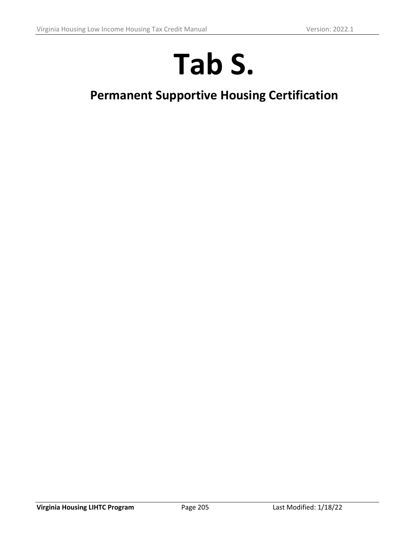# **Tab S.**

# **Permanent Supportive Housing Certification**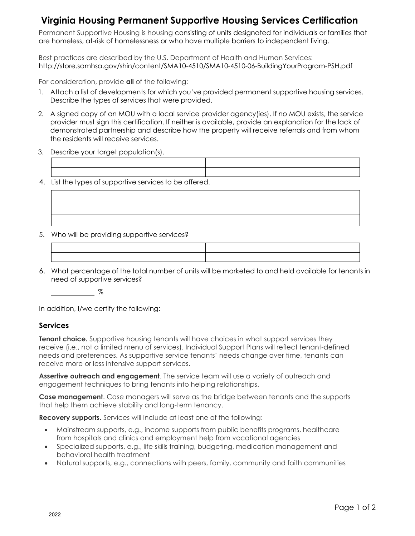## **Virginia Housing Permanent Supportive Housing Services Certification**

Permanent Supportive Housing is housing consisting of units designated for individuals or families that are homeless, at-risk of homelessness or who have multiple barriers to independent living.

Best practices are described by the U.S. Department of Health and Human Services: http://store.samhsa.gov/shin/content/SMA10-4510/SMA10-4510-06-BuildingYourProgram-PSH.pdf

For consideration, provide **all** of the following:

- 1. Attach a list of developments for which you've provided permanent supportive housing services. Describe the types of services that were provided.
- 2. A signed copy of an MOU with a local service provider agency(ies). If no MOU exists, the service provider must sign this certification. If neither is available, provide an explanation for the lack of demonstrated partnership and describe how the property will receive referrals and from whom the residents will receive services.
- 3. Describe your target population(s).

| List the types of supportive services to be offered. |  |
|------------------------------------------------------|--|

- 
- 5. Who will be providing supportive services?

6. What percentage of the total number of units will be marketed to and held available for tenants in need of supportive services?

 $\%$ 

In addition, I/we certify the following:

#### **Services**

**Tenant choice.** Supportive housing tenants will have choices in what support services they receive (i.e., not a limited menu of services). Individual Support Plans will reflect tenant-defined needs and preferences. As supportive service tenants' needs change over time, tenants can receive more or less intensive support services.

**Assertive outreach and engagement**. The service team will use a variety of outreach and engagement techniques to bring tenants into helping relationships.

**Case management**. Case managers will serve as the bridge between tenants and the supports that help them achieve stability and long-term tenancy.

**Recovery supports.** Services will include at least one of the following:

- Mainstream supports, e.g., income supports from public benefits programs, healthcare from hospitals and clinics and employment help from vocational agencies
- Specialized supports, e.g., life skills training, budgeting, medication management and behavioral health treatment
- Natural supports, e.g., connections with peers, family, community and faith communities